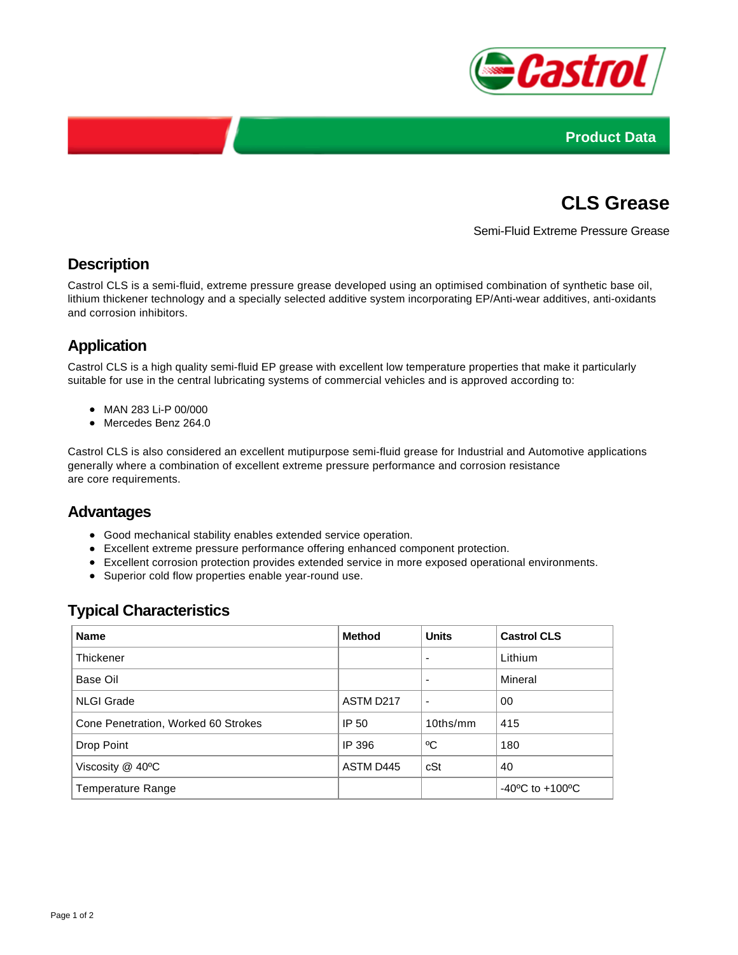



# **CLS Grease**

Semi-Fluid Extreme Pressure Grease

## **Description**

Castrol CLS is a semi-fluid, extreme pressure grease developed using an optimised combination of synthetic base oil, lithium thickener technology and a specially selected additive system incorporating EP/Anti-wear additives, anti-oxidants and corrosion inhibitors.

# **Application**

Castrol CLS is a high quality semi-fluid EP grease with excellent low temperature properties that make it particularly suitable for use in the central lubricating systems of commercial vehicles and is approved according to:

- MAN 283 Li-P 00/000
- Mercedes Benz 264.0

Castrol CLS is also considered an excellent mutipurpose semi-fluid grease for Industrial and Automotive applications generally where a combination of excellent extreme pressure performance and corrosion resistance are core requirements.

#### **Advantages**

- Good mechanical stability enables extended service operation.
- Excellent extreme pressure performance offering enhanced component protection.
- Excellent corrosion protection provides extended service in more exposed operational environments.
- Superior cold flow properties enable year-round use.

## **Typical Characteristics**

| <b>Name</b>                         | <b>Method</b>         | <b>Units</b>   | <b>Castrol CLS</b>                  |
|-------------------------------------|-----------------------|----------------|-------------------------------------|
| <b>Thickener</b>                    |                       | $\blacksquare$ | Lithium                             |
| Base Oil                            |                       | $\blacksquare$ | Mineral                             |
| <b>NLGI Grade</b>                   | ASTM D <sub>217</sub> | -              | 00                                  |
| Cone Penetration, Worked 60 Strokes | IP 50                 | 10ths/mm       | 415                                 |
| Drop Point                          | IP 396                | °C             | 180                                 |
| Viscosity @ 40°C                    | ASTM D445             | cSt            | 40                                  |
| <b>Temperature Range</b>            |                       |                | $-40^{\circ}$ C to $+100^{\circ}$ C |